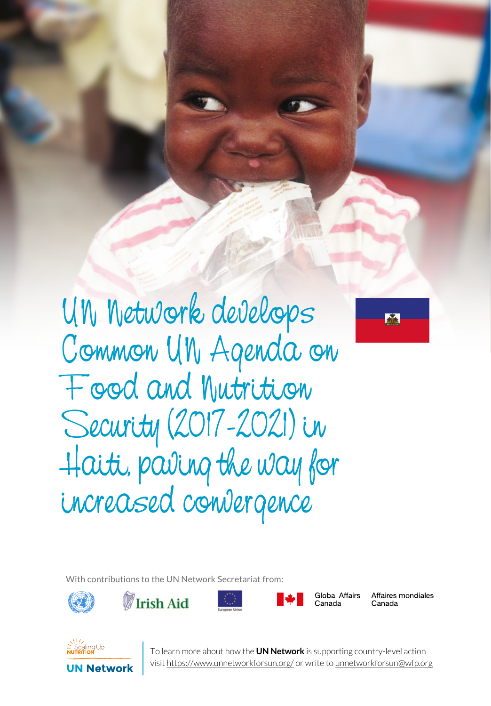UN Network develops Common UN Agenda on Food and Nutrition Security (2017-2021) in Haiti, paving the way for increased convergence

SERIES 1 UN NETWORK TALES 1 UN NETWORK



With contributions to the UN Network Secretariat from:









Global Affairs Canada

Affaires mondiales Canada

**UN Network** 

**1** To learn more about how the **UN Network** is supporting country-level action visit https://www.unnetworkforsun.org/ or write to unnetworkforsun@wfp.org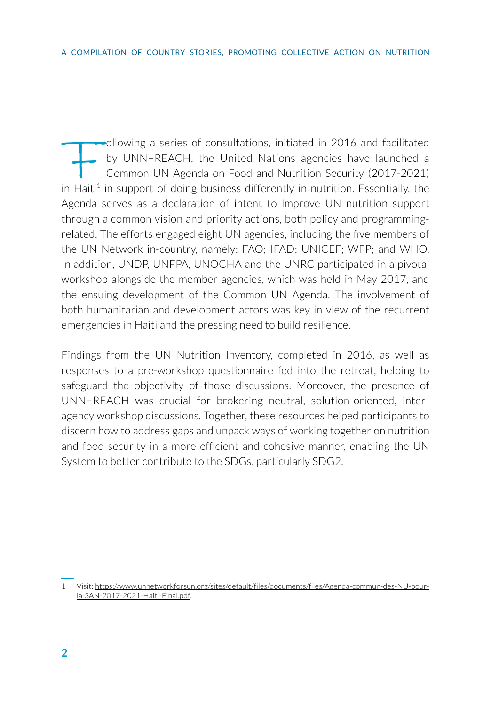Following a series of consultations, initiated in 2016 and facilitated<br>by UNN-REACH, the United Nations agencies have launched a<br><u>Common UN Agenda on Food and Nutrition Security (2017-2021)</u><br>a Haiti<sup>1</sup> in support of doing by UNN−REACH, the United Nations agencies have launched a [Common UN Agenda on Food and Nutrition Security \(2017-2021\)](https://www.unnetworkforsun.org/sites/default/files/documents/files/Agenda-commun-des-NU-pour-la-SAN-2017-2021-Haiti-Final.pdf)   $\text{in Haiti}^1$  $\text{in Haiti}^1$  $\text{in Haiti}^1$  in support of doing business differently in nutrition. Essentially, the Agenda serves as a declaration of intent to improve UN nutrition support through a common vision and priority actions, both policy and programmingrelated. The efforts engaged eight UN agencies, including the five members of the UN Network in-country, namely: FAO; IFAD; UNICEF; WFP; and WHO. In addition, UNDP, UNFPA, UNOCHA and the UNRC participated in a pivotal workshop alongside the member agencies, which was held in May 2017, and the ensuing development of the Common UN Agenda. The involvement of both humanitarian and development actors was key in view of the recurrent emergencies in Haiti and the pressing need to build resilience.

Findings from the UN Nutrition Inventory, completed in 2016, as well as responses to a pre-workshop questionnaire fed into the retreat, helping to safeguard the objectivity of those discussions. Moreover, the presence of UNN−REACH was crucial for brokering neutral, solution-oriented, interagency workshop discussions. Together, these resources helped participants to discern how to address gaps and unpack ways of working together on nutrition and food security in a more efficient and cohesive manner, enabling the UN System to better contribute to the SDGs, particularly SDG2.

<sup>1</sup> Visit: [https://www.unnetworkforsun.org/sites/default/files/documents/files/Agenda-commun-des-NU-pour](https://www.unnetworkforsun.org/sites/default/files/documents/files/Agenda-commun-des-NU-pour-la-SAN-2017-2021-Haiti-Final.pdf)[la-SAN-2017-2021-Haiti-Final.pdf](https://www.unnetworkforsun.org/sites/default/files/documents/files/Agenda-commun-des-NU-pour-la-SAN-2017-2021-Haiti-Final.pdf).